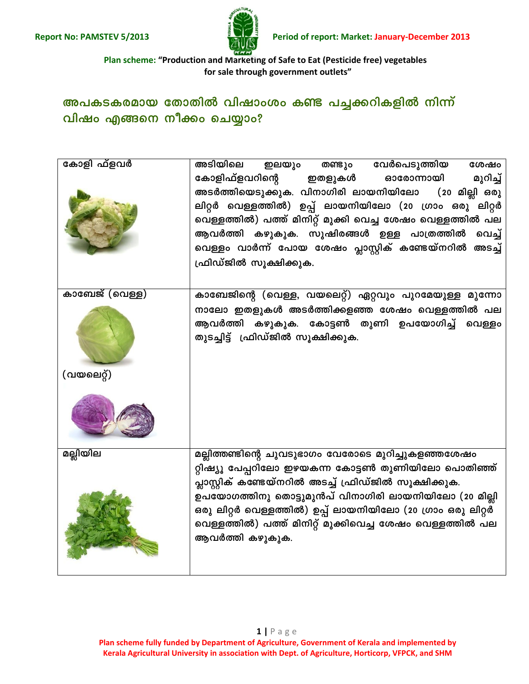

Plan scheme: "Production and Marketing of Safe to Eat (Pesticide free) vegetables for sale through government outlets"

## അപകടകരമായ തോതിൽ വിഷാംശം കണ്ട പച്ചക്കറികളിൽ നിന്ന് വിഷം എങ്ങനെ നീക്കം ചെയ്യാം?

| കോളി ഫ്ളവർ     | അടിയിലെ ഇലയും<br>തണ്ടും വേർപെടുത്തിയ<br>ശേഷം                |
|----------------|-------------------------------------------------------------|
|                | കോളിഫ്ളവറിന്റെ ഇതളുകൾ<br>ഓരോന്നായി<br>മുറിച്ച്              |
|                | അടർത്തിയെടുക്കുക. വിനാഗിരി ലായനിയിലോ<br>(20 മില്ലി ഒരു      |
|                | ലിറ്റർ വെള്ളത്തിൽ) ഉപ്പ് ലായനിയിലോ (20 ഗ്രാം ഒരു ലിറ്റർ     |
|                | വെള്ളത്തിൽ) പത്ത് മിനിറ്റ് മുക്കി വെച്ച ശേഷം വെള്ളത്തിൽ പല  |
|                | ആവർത്തി കഴുകുക. സുഷിരങ്ങൾ ഉള്ള പാത്രത്തിൽ വെച്ച്            |
|                | വെള്ളം വാർന്ന് പോയ ശേഷം പ്ലാസ്റ്റിക് കണ്ടേയ്നറിൽ അടച്ച്     |
|                | ഫ്രിഡ്ജിൽ സൂക്ഷിക്കുക.                                      |
|                |                                                             |
| കാബേജ് (വെള്ള) | കാബേജിന്റെ (വെള്ള, വയലെറ്റ്) ഏറ്റവും പുറമേയുള്ള മൂന്നോ      |
|                | നാലോ ഇതളുകൾ അടർത്തിക്കളഞ്ഞ ശേഷം വെള്ളത്തിൽ പല               |
|                | ആവർത്തി കഴുകുക. കോട്ടൺ തുണി ഉപയോഗിച്ച് വെള്ളം               |
|                | തുടച്ചിട്ട് ഫ്രിഡ്ജിൽ സൂക്ഷിക്കുക.                          |
|                |                                                             |
| (വയലെറ്റ്)     |                                                             |
|                |                                                             |
|                |                                                             |
| മല്ലിയില       | മല്ലിത്തണ്ടിന്റെ ചുവടുഭാഗം വേരോടെ മുറിച്ചുകളഞ്ഞശേഷം         |
|                | റ്റിഷ്യൂ പേപ്പറിലോ ഇഴയകന്ന കോട്ടൺ തുണിയിലോ പൊതിഞ്ഞ്         |
|                | പ്ലാസ്റ്റിക് കണ്ടേയ്നറിൽ അടച്ച് ഫ്രിഡ്ജിൽ സൂക്ഷിക്കുക.      |
|                | ഉപയോഗത്തിനു തൊട്ടുമുൻപ് വിനാഗിരി ലായനിയിലോ (20 മില്ലി       |
|                | ഒരു ലിറ്റർ വെള്ളത്തിൽ) ഉപ്പ് ലായനിയിലോ (20 ഗ്രാം ഒരു ലിറ്റർ |
|                | വെള്ളത്തിൽ) പത്ത് മിനിറ്റ് മുക്കിവെച്ച ശേഷം വെള്ളത്തിൽ പല   |
|                | ആവർത്തി കഴുകുക.                                             |
|                |                                                             |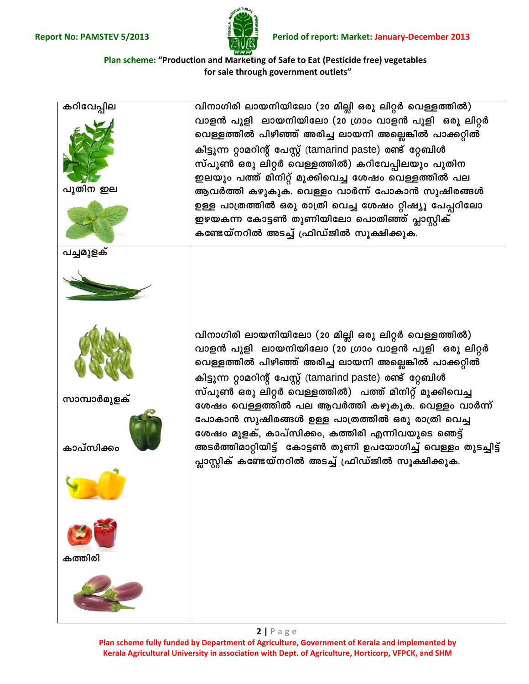

**Plan scheme: "Production and Marketing of Safe to Eat (Pesticide free) vegetables for sale through government outlets"**



**Plan scheme fully funded by Department of Agriculture, Government of Kerala and implemented by Kerala Agricultural University in association with Dept. of Agriculture, Horticorp, VFPCK, and SHM**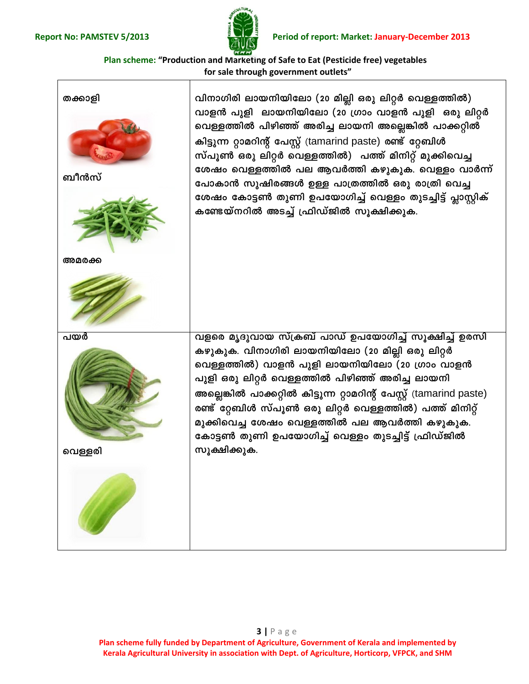

**Plan scheme: "Production and Marketing of Safe to Eat (Pesticide free) vegetables for sale through government outlets"**



**Plan scheme fully funded by Department of Agriculture, Government of Kerala and implemented by Kerala Agricultural University in association with Dept. of Agriculture, Horticorp, VFPCK, and SHM**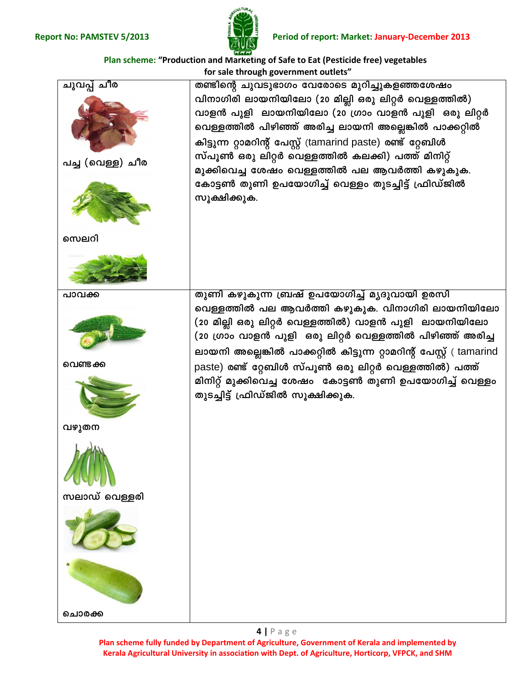

**Plan scheme: "Production and Marketing of Safe to Eat (Pesticide free) vegetables for sale through government outlets"**



**Plan scheme fully funded by Department of Agriculture, Government of Kerala and implemented by Kerala Agricultural University in association with Dept. of Agriculture, Horticorp, VFPCK, and SHM**

**4 |** P a g e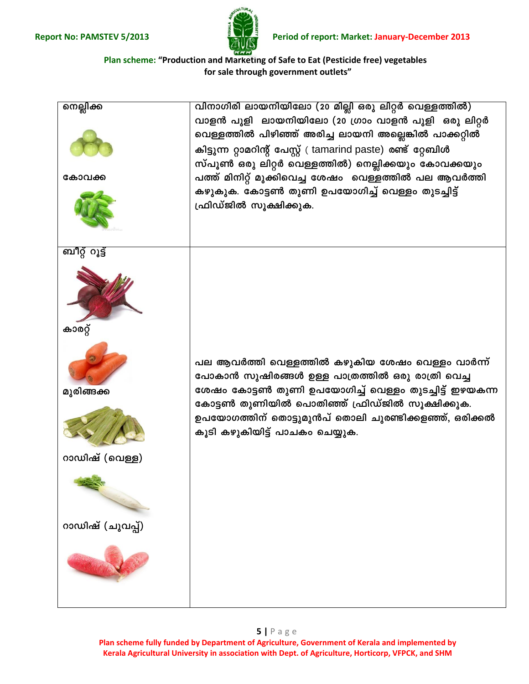

Plan scheme: "Production and Marketing of Safe to Eat (Pesticide free) vegetables for sale through government outlets"

| നെല്ലിക്ക<br>കോവക്ക                                                          | വിനാഗിരി ലായനിയിലോ (20 മില്ലി ഒരു ലിറ്റർ വെള്ളത്തിൽ)<br>വാളൻ പുളി ലായനിയിലോ (20 ഗ്രാം വാളൻ പുളി ഒരു ലിറ്റർ<br>വെള്ളത്തിൽ പിഴിഞ്ഞ് അരിച്ച ലായനി അല്ലെങ്കിൽ പാക്കറ്റിൽ<br>കിട്ടുന്ന റ്റാമറിന്റ് പേസ്റ്റ് ( tamarind paste) രണ്ട് റ്റേബിൾ<br>സ്പൂൺ ഒരു ലിറ്റർ വെള്ളത്തിൽ) നെല്ലിക്കയും കോവക്കയും<br>പത്ത് മിനിറ്റ് മുക്കിവെച്ച ശേഷം വെള്ളത്തിൽ പല ആവർത്തി<br>കഴുകുക. കോട്ടൺ തുണി ഉപയോഗിച്ച് വെള്ളം തുടച്ചിട്ട്<br>ഫ്രിഡ്ജിൽ സൂക്ഷിക്കുക. |
|------------------------------------------------------------------------------|---------------------------------------------------------------------------------------------------------------------------------------------------------------------------------------------------------------------------------------------------------------------------------------------------------------------------------------------------------------------------------------------------------------------------------------|
| ബീറ്റ് റൂട്ട്<br>കാരറ്റ്<br>മുരിങ്ങക്ക<br>റാഡിഷ് (വെള്ള)<br>റാഡിഷ് (ചുവപ്പ്) | പല ആവർത്തി വെള്ളത്തിൽ കഴുകിയ ശേഷം വെള്ളം വാർന്ന്<br>പോകാൻ സുഷിരങ്ങൾ ഉള്ള പാത്രത്തിൽ ഒരു രാത്രി വെച്ച<br>ശേഷം കോട്ടൺ തുണി ഉപയോഗിച്ച് വെള്ളം തുടച്ചിട്ട് ഇഴയകന്ന<br>കോട്ടൺ തുണിയിൽ പൊതിഞ്ഞ് ഫ്രിഡ്ജിൽ സൂക്ഷിക്കുക.<br>ഉപയോഗത്തിന് തൊട്ടുമുൻപ് തൊലി ചുരണ്ടിക്കളഞ്ഞ്, ഒരിക്കൽ<br>കൂടി കഴുകിയിട്ട് പാചകം ചെയ്യുക.                                                                                                                          |

Plan scheme fully funded by Department of Agriculture, Government of Kerala and implemented by Kerala Agricultural University in association with Dept. of Agriculture, Horticorp, VFPCK, and SHM

## $5 | P \text{age}$